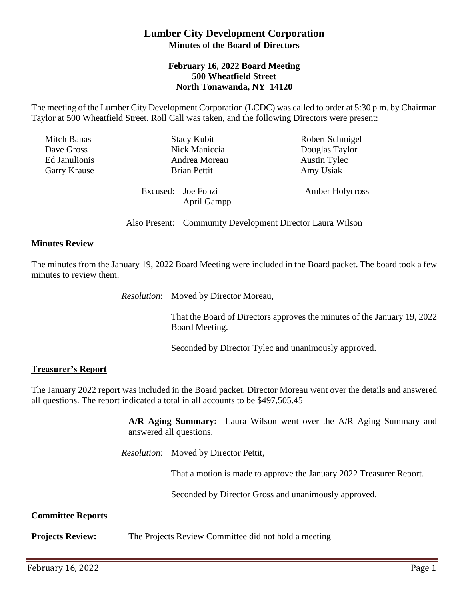# **Lumber City Development Corporation Minutes of the Board of Directors**

### **February 16, 2022 Board Meeting 500 Wheatfield Street North Tonawanda, NY 14120**

The meeting of the Lumber City Development Corporation (LCDC) was called to order at 5:30 p.m. by Chairman Taylor at 500 Wheatfield Street. Roll Call was taken, and the following Directors were present:

| Mitch Banas         | <b>Stacy Kubit</b>                | Robert Schmigel        |
|---------------------|-----------------------------------|------------------------|
| Dave Gross          | Nick Maniccia                     | Douglas Taylor         |
| Ed Janulionis       | Andrea Moreau                     | <b>Austin Tylec</b>    |
| <b>Garry Krause</b> | <b>Brian Pettit</b>               | Amy Usiak              |
|                     | Excused: Joe Fonzi<br>April Gampp | <b>Amber Holycross</b> |

Also Present: Community Development Director Laura Wilson

## **Minutes Review**

The minutes from the January 19, 2022 Board Meeting were included in the Board packet. The board took a few minutes to review them.

*Resolution*: Moved by Director Moreau,

That the Board of Directors approves the minutes of the January 19, 2022 Board Meeting.

Seconded by Director Tylec and unanimously approved.

### **Treasurer's Report**

The January 2022 report was included in the Board packet. Director Moreau went over the details and answered all questions. The report indicated a total in all accounts to be \$497,505.45

> **A/R Aging Summary:** Laura Wilson went over the A/R Aging Summary and answered all questions.

*Resolution*: Moved by Director Pettit,

That a motion is made to approve the January 2022 Treasurer Report.

Seconded by Director Gross and unanimously approved.

#### **Committee Reports**

**Projects Review:** The Projects Review Committee did not hold a meeting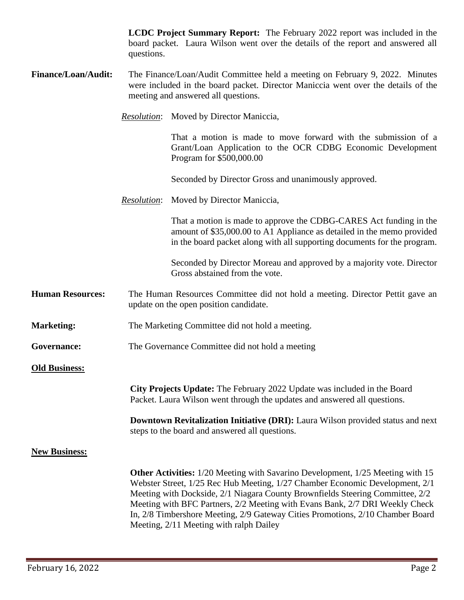**LCDC Project Summary Report:** The February 2022 report was included in the board packet. Laura Wilson went over the details of the report and answered all questions.

- **Finance/Loan/Audit:** The Finance/Loan/Audit Committee held a meeting on February 9, 2022. Minutes were included in the board packet. Director Maniccia went over the details of the meeting and answered all questions.
	- *Resolution*: Moved by Director Maniccia,

That a motion is made to move forward with the submission of a Grant/Loan Application to the OCR CDBG Economic Development Program for \$500,000.00

Seconded by Director Gross and unanimously approved.

*Resolution*: Moved by Director Maniccia,

That a motion is made to approve the CDBG-CARES Act funding in the amount of \$35,000.00 to A1 Appliance as detailed in the memo provided in the board packet along with all supporting documents for the program.

Seconded by Director Moreau and approved by a majority vote. Director Gross abstained from the vote.

- **Human Resources:** The Human Resources Committee did not hold a meeting. Director Pettit gave an update on the open position candidate.
- **Marketing:** The Marketing Committee did not hold a meeting.
- **Governance:** The Governance Committee did not hold a meeting
- **Old Business:**

**City Projects Update:** The February 2022 Update was included in the Board Packet. Laura Wilson went through the updates and answered all questions.

**Downtown Revitalization Initiative (DRI):** Laura Wilson provided status and next steps to the board and answered all questions.

#### **New Business:**

**Other Activities:** 1/20 Meeting with Savarino Development, 1/25 Meeting with 15 Webster Street, 1/25 Rec Hub Meeting, 1/27 Chamber Economic Development, 2/1 Meeting with Dockside, 2/1 Niagara County Brownfields Steering Committee, 2/2 Meeting with BFC Partners, 2/2 Meeting with Evans Bank, 2/7 DRI Weekly Check In, 2/8 Timbershore Meeting, 2/9 Gateway Cities Promotions, 2/10 Chamber Board Meeting, 2/11 Meeting with ralph Dailey